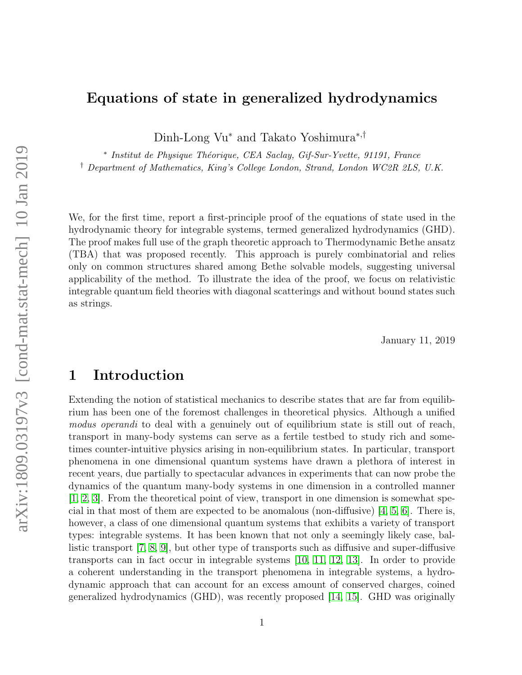## Equations of state in generalized hydrodynamics

Dinh-Long Vu<sup>∗</sup> and Takato Yoshimura<sup>∗</sup>,†

\* Institut de Physique Théorique, CEA Saclay, Gif-Sur-Yvette, 91191, France † Department of Mathematics, King's College London, Strand, London WC2R 2LS, U.K.

We, for the first time, report a first-principle proof of the equations of state used in the hydrodynamic theory for integrable systems, termed generalized hydrodynamics (GHD). The proof makes full use of the graph theoretic approach to Thermodynamic Bethe ansatz (TBA) that was proposed recently. This approach is purely combinatorial and relies only on common structures shared among Bethe solvable models, suggesting universal applicability of the method. To illustrate the idea of the proof, we focus on relativistic integrable quantum field theories with diagonal scatterings and without bound states such as strings.

January 11, 2019

## 1 Introduction

Extending the notion of statistical mechanics to describe states that are far from equilibrium has been one of the foremost challenges in theoretical physics. Although a unified modus operandi to deal with a genuinely out of equilibrium state is still out of reach, transport in many-body systems can serve as a fertile testbed to study rich and sometimes counter-intuitive physics arising in non-equilibrium states. In particular, transport phenomena in one dimensional quantum systems have drawn a plethora of interest in recent years, due partially to spectacular advances in experiments that can now probe the dynamics of the quantum many-body systems in one dimension in a controlled manner [\[1,](#page-15-0) [2,](#page-16-0) [3\]](#page-16-1). From the theoretical point of view, transport in one dimension is somewhat special in that most of them are expected to be anomalous (non-diffusive) [\[4,](#page-16-2) [5,](#page-16-3) [6\]](#page-16-4). There is, however, a class of one dimensional quantum systems that exhibits a variety of transport types: integrable systems. It has been known that not only a seemingly likely case, ballistic transport [\[7,](#page-16-5) [8,](#page-16-6) [9\]](#page-16-7), but other type of transports such as diffusive and super-diffusive transports can in fact occur in integrable systems [\[10,](#page-16-8) [11,](#page-16-9) [12,](#page-16-10) [13\]](#page-16-11). In order to provide a coherent understanding in the transport phenomena in integrable systems, a hydrodynamic approach that can account for an excess amount of conserved charges, coined generalized hydrodynamics (GHD), was recently proposed [\[14,](#page-16-12) [15\]](#page-16-13). GHD was originally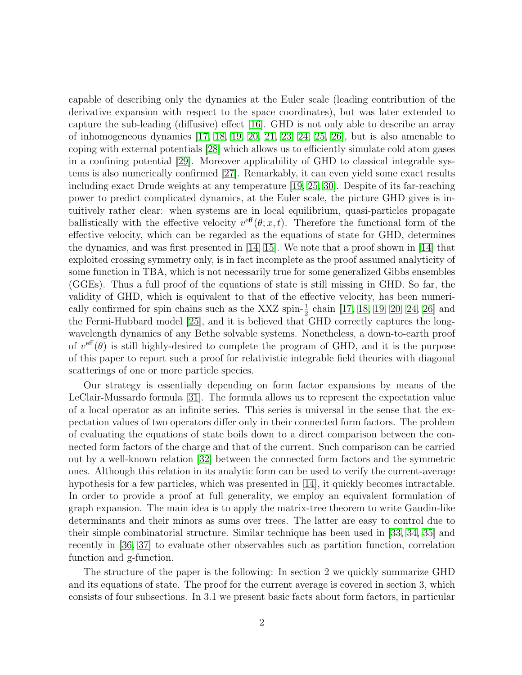capable of describing only the dynamics at the Euler scale (leading contribution of the derivative expansion with respect to the space coordinates), but was later extended to capture the sub-leading (diffusive) effect [\[16\]](#page-16-14). GHD is not only able to describe an array of inhomogeneous dynamics  $[17, 18, 19, 20, 21, 23, 24, 25, 26]$  $[17, 18, 19, 20, 21, 23, 24, 25, 26]$  $[17, 18, 19, 20, 21, 23, 24, 25, 26]$  $[17, 18, 19, 20, 21, 23, 24, 25, 26]$  $[17, 18, 19, 20, 21, 23, 24, 25, 26]$  $[17, 18, 19, 20, 21, 23, 24, 25, 26]$  $[17, 18, 19, 20, 21, 23, 24, 25, 26]$  $[17, 18, 19, 20, 21, 23, 24, 25, 26]$  $[17, 18, 19, 20, 21, 23, 24, 25, 26]$ , but is also amenable to coping with external potentials [\[28\]](#page-17-9) which allows us to efficiently simulate cold atom gases in a confining potential [\[29\]](#page-17-10). Moreover applicability of GHD to classical integrable systems is also numerically confirmed [\[27\]](#page-17-11). Remarkably, it can even yield some exact results including exact Drude weights at any temperature [\[19,](#page-17-2) [25,](#page-17-7) [30\]](#page-17-12). Despite of its far-reaching power to predict complicated dynamics, at the Euler scale, the picture GHD gives is intuitively rather clear: when systems are in local equilibrium, quasi-particles propagate ballistically with the effective velocity  $v^{\text{eff}}(\theta; x, t)$ . Therefore the functional form of the effective velocity, which can be regarded as the equations of state for GHD, determines the dynamics, and was first presented in [\[14,](#page-16-12) [15\]](#page-16-13). We note that a proof shown in [\[14\]](#page-16-12) that exploited crossing symmetry only, is in fact incomplete as the proof assumed analyticity of some function in TBA, which is not necessarily true for some generalized Gibbs ensembles (GGEs). Thus a full proof of the equations of state is still missing in GHD. So far, the validity of GHD, which is equivalent to that of the effective velocity, has been numerically confirmed for spin chains such as the XXZ spin- $\frac{1}{2}$  chain [\[17,](#page-17-0) [18,](#page-17-1) [19,](#page-17-2) [20,](#page-17-3) [24,](#page-17-6) [26\]](#page-17-8) and the Fermi-Hubbard model [\[25\]](#page-17-7), and it is believed that GHD correctly captures the longwavelength dynamics of any Bethe solvable systems. Nonetheless, a down-to-earth proof of  $v^{\text{eff}}(\theta)$  is still highly-desired to complete the program of GHD, and it is the purpose of this paper to report such a proof for relativistic integrable field theories with diagonal scatterings of one or more particle species.

Our strategy is essentially depending on form factor expansions by means of the LeClair-Mussardo formula [\[31\]](#page-18-0). The formula allows us to represent the expectation value of a local operator as an infinite series. This series is universal in the sense that the expectation values of two operators differ only in their connected form factors. The problem of evaluating the equations of state boils down to a direct comparison between the connected form factors of the charge and that of the current. Such comparison can be carried out by a well-known relation [\[32\]](#page-18-1) between the connected form factors and the symmetric ones. Although this relation in its analytic form can be used to verify the current-average hypothesis for a few particles, which was presented in [\[14\]](#page-16-12), it quickly becomes intractable. In order to provide a proof at full generality, we employ an equivalent formulation of graph expansion. The main idea is to apply the matrix-tree theorem to write Gaudin-like determinants and their minors as sums over trees. The latter are easy to control due to their simple combinatorial structure. Similar technique has been used in [\[33,](#page-18-2) [34,](#page-18-3) [35\]](#page-18-4) and recently in [\[36,](#page-18-5) [37\]](#page-18-6) to evaluate other observables such as partition function, correlation function and g-function.

The structure of the paper is the following: In section 2 we quickly summarize GHD and its equations of state. The proof for the current average is covered in section 3, which consists of four subsections. In 3.1 we present basic facts about form factors, in particular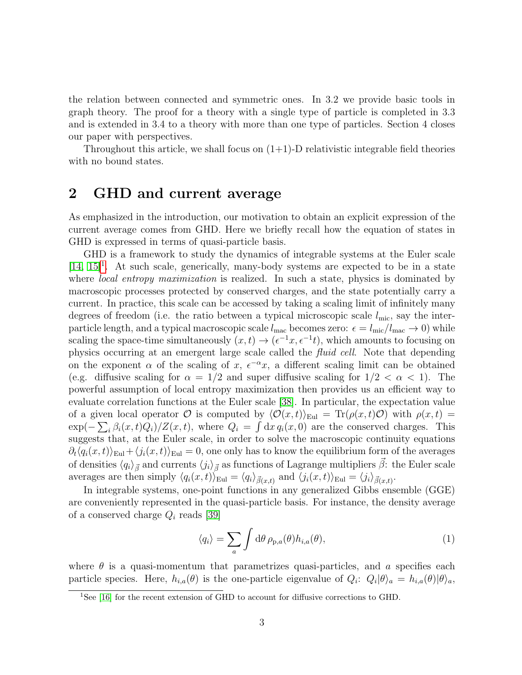the relation between connected and symmetric ones. In 3.2 we provide basic tools in graph theory. The proof for a theory with a single type of particle is completed in 3.3 and is extended in 3.4 to a theory with more than one type of particles. Section 4 closes our paper with perspectives.

Throughout this article, we shall focus on  $(1+1)$ -D relativistic integrable field theories with no bound states.

# 2 GHD and current average

As emphasized in the introduction, our motivation to obtain an explicit expression of the current average comes from GHD. Here we briefly recall how the equation of states in GHD is expressed in terms of quasi-particle basis.

GHD is a framework to study the dynamics of integrable systems at the Euler scale  $[14, 15]^1$  $[14, 15]^1$  $[14, 15]^1$  $[14, 15]^1$ . At such scale, generically, many-body systems are expected to be in a state where *local entropy maximization* is realized. In such a state, physics is dominated by macroscopic processes protected by conserved charges, and the state potentially carry a current. In practice, this scale can be accessed by taking a scaling limit of infinitely many degrees of freedom (i.e. the ratio between a typical microscopic scale  $l_{\text{mic}}$ , say the interparticle length, and a typical macroscopic scale  $l_{\text{mac}}$  becomes zero:  $\epsilon = l_{\text{mic}}/l_{\text{mac}} \rightarrow 0$ ) while scaling the space-time simultaneously  $(x,t) \to (\epsilon^{-1}x, \epsilon^{-1}t)$ , which amounts to focusing on physics occurring at an emergent large scale called the fluid cell. Note that depending on the exponent  $\alpha$  of the scaling of x,  $\epsilon^{-\alpha}$ x, a different scaling limit can be obtained (e.g. diffusive scaling for  $\alpha = 1/2$  and super diffusive scaling for  $1/2 < \alpha < 1$ ). The powerful assumption of local entropy maximization then provides us an efficient way to evaluate correlation functions at the Euler scale [\[38\]](#page-18-7). In particular, the expectation value of a given local operator O is computed by  $\langle \mathcal{O}(x, t)\rangle_{\text{Eul}} = \text{Tr}(\rho(x, t)\mathcal{O})$  with  $\rho(x, t) =$  $\exp(-\sum_i \beta_i(x,t)Q_i)/Z(x,t)$ , where  $Q_i = \int dx q_i(x,0)$  are the conserved charges. This suggests that, at the Euler scale, in order to solve the macroscopic continuity equations  $\partial_t \langle q_i(x, t) \rangle_{\text{Eul}} + \langle j_i(x, t) \rangle_{\text{Eul}} = 0$ , one only has to know the equilibrium form of the averages of densities  $\langle q_i \rangle_{\vec{\beta}}$  and currents  $\langle j_i \rangle_{\vec{\beta}}$  as functions of Lagrange multipliers  $\vec{\beta}$ : the Euler scale averages are then simply  $\langle q_i(x,t) \rangle_{\text{Eul}} = \langle q_i \rangle_{\vec{\beta}(x,t)}$  and  $\langle j_i(x,t) \rangle_{\text{Eul}} = \langle j_i \rangle_{\vec{\beta}(x,t)}$ .

In integrable systems, one-point functions in any generalized Gibbs ensemble (GGE) are conveniently represented in the quasi-particle basis. For instance, the density average of a conserved charge  $Q_i$  reads [\[39\]](#page-18-8)

<span id="page-2-1"></span>
$$
\langle q_i \rangle = \sum_{a} \int d\theta \, \rho_{p,a}(\theta) h_{i,a}(\theta), \tag{1}
$$

where  $\theta$  is a quasi-momentum that parametrizes quasi-particles, and a specifies each particle species. Here,  $h_{i,a}(\theta)$  is the one-particle eigenvalue of  $Q_i$ :  $Q_i|\theta\rangle_a = h_{i,a}(\theta)|\theta\rangle_a$ ,

<span id="page-2-0"></span><sup>&</sup>lt;sup>1</sup>See [\[16\]](#page-16-14) for the recent extension of GHD to account for diffusive corrections to GHD.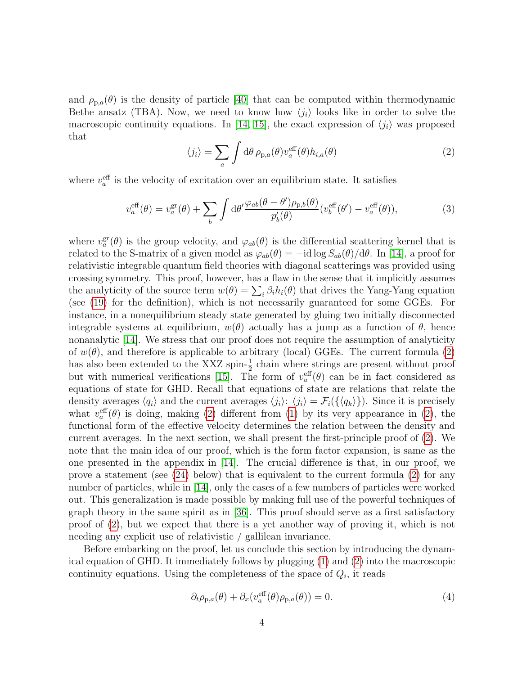and  $\rho_{p,q}(\theta)$  is the density of particle [\[40\]](#page-18-9) that can be computed within thermodynamic Bethe ansatz (TBA). Now, we need to know how  $\langle j_i \rangle$  looks like in order to solve the macroscopic continuity equations. In [\[14,](#page-16-12) [15\]](#page-16-13), the exact expression of  $\langle j_i \rangle$  was proposed that

<span id="page-3-0"></span>
$$
\langle j_i \rangle = \sum_{a} \int d\theta \, \rho_{p,a}(\theta) v_a^{\text{eff}}(\theta) h_{i,a}(\theta) \tag{2}
$$

where  $v_a^{\text{eff}}$  is the velocity of excitation over an equilibrium state. It satisfies

<span id="page-3-2"></span>
$$
v_a^{\text{eff}}(\theta) = v_a^{\text{gr}}(\theta) + \sum_b \int \mathrm{d}\theta' \frac{\varphi_{ab}(\theta - \theta')\rho_{p,b}(\theta)}{p_b'(\theta)} (v_b^{\text{eff}}(\theta') - v_a^{\text{eff}}(\theta)),\tag{3}
$$

where  $v_a^{\text{gr}}(\theta)$  is the group velocity, and  $\varphi_{ab}(\theta)$  is the differential scattering kernel that is related to the S-matrix of a given model as  $\varphi_{ab}(\theta) = -id \log S_{ab}(\theta)/d\theta$ . In [\[14\]](#page-16-12), a proof for relativistic integrable quantum field theories with diagonal scatterings was provided using crossing symmetry. This proof, however, has a flaw in the sense that it implicitly assumes the analyticity of the source term  $w(\theta) = \sum_i \beta_i h_i(\theta)$  that drives the Yang-Yang equation (see [\(19\)](#page-6-0) for the definition), which is not necessarily guaranteed for some GGEs. For instance, in a nonequilibrium steady state generated by gluing two initially disconnected integrable systems at equilibrium,  $w(\theta)$  actually has a jump as a function of  $\theta$ , hence nonanalytic [\[14\]](#page-16-12). We stress that our proof does not require the assumption of analyticity of  $w(\theta)$ , and therefore is applicable to arbitrary (local) GGEs. The current formula [\(2\)](#page-3-0) has also been extended to the XXZ spin- $\frac{1}{2}$  chain where strings are present without proof but with numerical verifications [\[15\]](#page-16-13). The form of  $v_a^{\text{eff}}(\theta)$  can be in fact considered as equations of state for GHD. Recall that equations of state are relations that relate the density averages  $\langle q_i \rangle$  and the current averages  $\langle j_i \rangle$ :  $\langle j_i \rangle = \mathcal{F}_i(\{\langle q_k \rangle\})$ . Since it is precisely what  $v_a^{\text{eff}}(\theta)$  is doing, making [\(2\)](#page-3-0) different from [\(1\)](#page-2-1) by its very appearance in (2), the functional form of the effective velocity determines the relation between the density and current averages. In the next section, we shall present the first-principle proof of [\(2\)](#page-3-0). We note that the main idea of our proof, which is the form factor expansion, is same as the one presented in the appendix in [\[14\]](#page-16-12). The crucial difference is that, in our proof, we prove a statement (see [\(24\)](#page-7-0) below) that is equivalent to the current formula [\(2\)](#page-3-0) for any number of particles, while in [\[14\]](#page-16-12), only the cases of a few numbers of particles were worked out. This generalization is made possible by making full use of the powerful techniques of graph theory in the same spirit as in [\[36\]](#page-18-5). This proof should serve as a first satisfactory proof of [\(2\)](#page-3-0), but we expect that there is a yet another way of proving it, which is not needing any explicit use of relativistic / gallilean invariance.

Before embarking on the proof, let us conclude this section by introducing the dynamical equation of GHD. It immediately follows by plugging [\(1\)](#page-2-1) and [\(2\)](#page-3-0) into the macroscopic continuity equations. Using the completeness of the space of  $Q_i$ , it reads

<span id="page-3-1"></span>
$$
\partial_t \rho_{p,a}(\theta) + \partial_x (v_a^{\text{eff}}(\theta)\rho_{p,a}(\theta)) = 0.
$$
\n(4)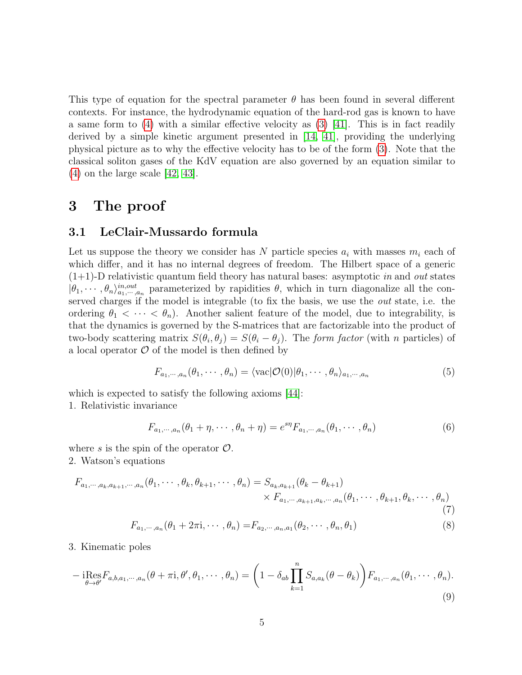This type of equation for the spectral parameter  $\theta$  has been found in several different contexts. For instance, the hydrodynamic equation of the hard-rod gas is known to have a same form to  $(4)$  with a similar effective velocity as  $(3)$  [\[41\]](#page-18-10). This is in fact readily derived by a simple kinetic argument presented in [\[14,](#page-16-12) [41\]](#page-18-10), providing the underlying physical picture as to why the effective velocity has to be of the form [\(3\)](#page-3-2). Note that the classical soliton gases of the KdV equation are also governed by an equation similar to [\(4\)](#page-3-1) on the large scale [\[42,](#page-18-11) [43\]](#page-18-12).

## 3 The proof

#### 3.1 LeClair-Mussardo formula

Let us suppose the theory we consider has N particle species  $a_i$  with masses  $m_i$  each of which differ, and it has no internal degrees of freedom. The Hilbert space of a generic  $(1+1)$ -D relativistic quantum field theory has natural bases: asymptotic in and out states  $|\theta_1,\dots,\theta_n\rangle_{a_1,\dots,a_n}^{in,out}$  parameterized by rapidities  $\theta$ , which in turn diagonalize all the conserved charges if the model is integrable (to fix the basis, we use the out state, i.e. the ordering  $\theta_1 < \cdots < \theta_n$ ). Another salient feature of the model, due to integrability, is that the dynamics is governed by the S-matrices that are factorizable into the product of two-body scattering matrix  $S(\theta_i, \theta_j) = S(\theta_i - \theta_j)$ . The form factor (with n particles) of a local operator  $\mathcal O$  of the model is then defined by

$$
F_{a_1,\dots,a_n}(\theta_1,\dots,\theta_n) = \langle \text{vac} | \mathcal{O}(0) | \theta_1,\dots,\theta_n \rangle_{a_1,\dots,a_n}
$$
(5)

which is expected to satisfy the following axioms [\[44\]](#page-18-13): 1. Relativistic invariance

$$
F_{a_1,\dots,a_n}(\theta_1+\eta,\dots,\theta_n+\eta) = e^{s\eta} F_{a_1,\dots,a_n}(\theta_1,\dots,\theta_n)
$$
\n(6)

where s is the spin of the operator  $\mathcal{O}$ . 2. Watson's equations

$$
F_{a_1,\dots,a_k,a_{k+1},\dots,a_n}(\theta_1,\dots,\theta_k,\theta_{k+1},\dots,\theta_n) = S_{a_k,a_{k+1}}(\theta_k-\theta_{k+1}) \times F_{a_1,\dots,a_{k+1},a_k,\dots,a_n}(\theta_1,\dots,\theta_{k+1},\theta_k,\dots,\theta_n)
$$
\n
$$
(7)
$$

$$
F_{a_1,\dots,a_n}(\theta_1+2\pi i,\dots,\theta_n)=F_{a_2,\dots,a_n,a_1}(\theta_2,\dots,\theta_n,\theta_1)
$$
\n(8)

3. Kinematic poles

$$
-i\underset{\theta \to \theta'}{\text{Res}} F_{a,b,a_1,\dots,a_n}(\theta + \pi i, \theta', \theta_1, \dots, \theta_n) = \left(1 - \delta_{ab} \prod_{k=1}^n S_{a,a_k}(\theta - \theta_k)\right) F_{a_1,\dots,a_n}(\theta_1, \dots, \theta_n).
$$
\n(9)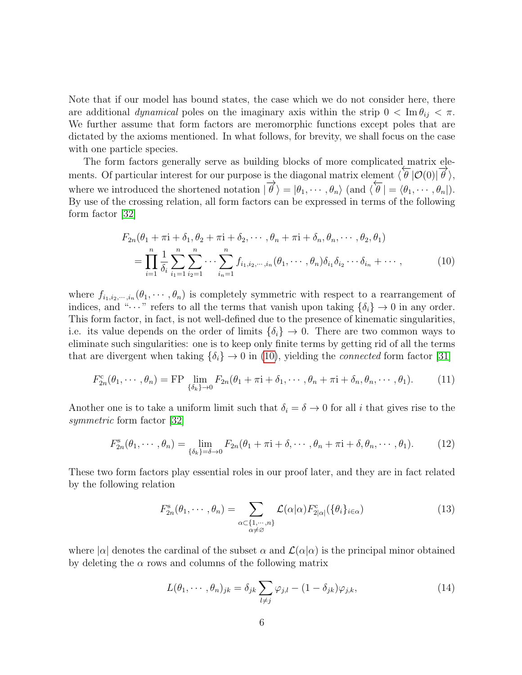Note that if our model has bound states, the case which we do not consider here, there are additional *dynamical* poles on the imaginary axis within the strip  $0 < \text{Im } \theta_{ij} < \pi$ . We further assume that form factors are meromorphic functions except poles that are dictated by the axioms mentioned. In what follows, for brevity, we shall focus on the case with one particle species.

The form factors generally serve as building blocks of more complicated matrix elements. Of particular interest for our purpose is the diagonal matrix element  $\langle \theta | \mathcal{O}(0) | \vec{\theta} \rangle$ , where we introduced the shortened notation  $|\vec{\theta}\rangle = |\theta_1, \dots, \theta_n\rangle$  (and  $\langle \hat{\theta} | = \langle \theta_1, \dots, \theta_n |$ ). By use of the crossing relation, all form factors can be expressed in terms of the following form factor [\[32\]](#page-18-1)

<span id="page-5-0"></span>
$$
F_{2n}(\theta_1 + \pi i + \delta_1, \theta_2 + \pi i + \delta_2, \cdots, \theta_n + \pi i + \delta_n, \theta_n, \cdots, \theta_2, \theta_1)
$$
  
= 
$$
\prod_{i=1}^n \frac{1}{\delta_i} \sum_{i_1=1}^n \sum_{i_2=1}^n \cdots \sum_{i_n=1}^n f_{i_1, i_2, \cdots, i_n}(\theta_1, \cdots, \theta_n) \delta_{i_1} \delta_{i_2} \cdots \delta_{i_n} + \cdots,
$$
 (10)

where  $f_{i_1,i_2,\dots,i_n}(\theta_1,\dots,\theta_n)$  is completely symmetric with respect to a rearrangement of indices, and " $\cdots$ " refers to all the terms that vanish upon taking  $\{\delta_i\} \to 0$  in any order. This form factor, in fact, is not well-defined due to the presence of kinematic singularities, i.e. its value depends on the order of limits  $\{\delta_i\} \to 0$ . There are two common ways to eliminate such singularities: one is to keep only finite terms by getting rid of all the terms that are divergent when taking  $\{\delta_i\} \rightarrow 0$  in [\(10\)](#page-5-0), yielding the *connected* form factor [\[31\]](#page-18-0)

$$
F_{2n}^c(\theta_1,\dots,\theta_n) = \text{FP} \lim_{\{\delta_k\}\to 0} F_{2n}(\theta_1 + \pi i + \delta_1,\dots,\theta_n + \pi i + \delta_n,\theta_n,\dots,\theta_1). \tag{11}
$$

Another one is to take a uniform limit such that  $\delta_i = \delta \to 0$  for all i that gives rise to the symmetric form factor [\[32\]](#page-18-1)

$$
F_{2n}^s(\theta_1,\dots,\theta_n) = \lim_{\{\delta_k\}=\delta \to 0} F_{2n}(\theta_1 + \pi i + \delta,\dots,\theta_n + \pi i + \delta,\theta_n,\dots,\theta_1). \tag{12}
$$

These two form factors play essential roles in our proof later, and they are in fact related by the following relation

<span id="page-5-1"></span>
$$
F_{2n}^{\rm s}(\theta_1,\cdots,\theta_n)=\sum_{\substack{\alpha\subset\{1,\cdots,n\}\\ \alpha\neq\varnothing}}\mathcal{L}(\alpha|\alpha)F_{2|\alpha|}^{\rm c}(\{\theta_i\}_{i\in\alpha})
$$
(13)

where  $|\alpha|$  denotes the cardinal of the subset  $\alpha$  and  $\mathcal{L}(\alpha|\alpha)$  is the principal minor obtained by deleting the  $\alpha$  rows and columns of the following matrix

<span id="page-5-2"></span>
$$
L(\theta_1, \cdots, \theta_n)_{jk} = \delta_{jk} \sum_{l \neq j} \varphi_{j,l} - (1 - \delta_{jk}) \varphi_{j,k}, \qquad (14)
$$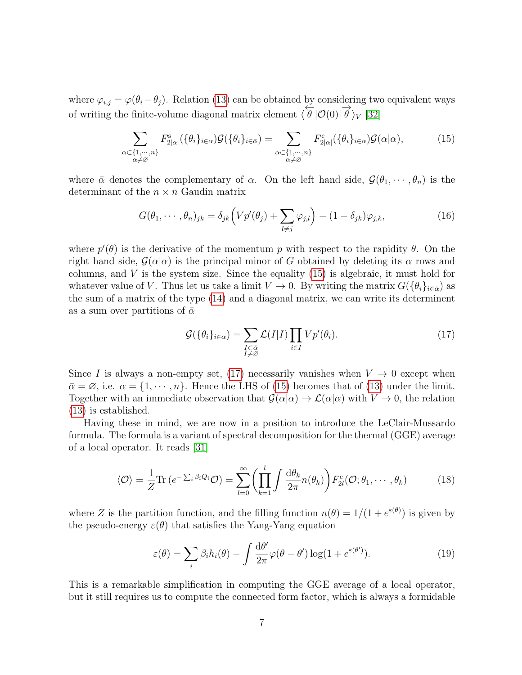where  $\varphi_{i,j} = \varphi(\theta_i - \theta_j)$ . Relation [\(13\)](#page-5-1) can be obtained by considering two equivalent ways of writing the finite-volume diagonal matrix element  $\langle \theta | \mathcal{O}(0) | \theta \rangle_V [32]$  $\langle \theta | \mathcal{O}(0) | \theta \rangle_V [32]$ 

<span id="page-6-1"></span>
$$
\sum_{\substack{\alpha \in \{1, \cdots, n\} \\ \alpha \neq \varnothing}} F_{2|\alpha|}^s(\{\theta_i\}_{i \in \alpha}) \mathcal{G}(\{\theta_i\}_{i \in \bar{\alpha}}) = \sum_{\substack{\alpha \in \{1, \cdots, n\} \\ \alpha \neq \varnothing}} F_{2|\alpha|}^c(\{\theta_i\}_{i \in \alpha}) \mathcal{G}(\alpha|\alpha), \tag{15}
$$

where  $\bar{\alpha}$  denotes the complementary of  $\alpha$ . On the left hand side,  $\mathcal{G}(\theta_1, \dots, \theta_n)$  is the determinant of the  $n \times n$  Gaudin matrix

$$
G(\theta_1, \cdots, \theta_n)_{jk} = \delta_{jk} \Big( V p'(\theta_j) + \sum_{l \neq j} \varphi_{j,l} \Big) - (1 - \delta_{jk}) \varphi_{j,k}, \tag{16}
$$

where  $p'(\theta)$  is the derivative of the momentum p with respect to the rapidity  $\theta$ . On the right hand side,  $\mathcal{G}(\alpha|\alpha)$  is the principal minor of G obtained by deleting its  $\alpha$  rows and columns, and  $V$  is the system size. Since the equality  $(15)$  is algebraic, it must hold for whatever value of V. Thus let us take a limit  $V \to 0$ . By writing the matrix  $G(\{\theta_i\}_{i \in \bar{\alpha}})$  as the sum of a matrix of the type [\(14\)](#page-5-2) and a diagonal matrix, we can write its determinent as a sum over partitions of  $\bar{\alpha}$ 

<span id="page-6-2"></span>
$$
\mathcal{G}(\{\theta_i\}_{i \in \bar{\alpha}}) = \sum_{\substack{I \subset \bar{\alpha} \\ I \neq \varnothing}} \mathcal{L}(I|I) \prod_{i \in I} V p'(\theta_i). \tag{17}
$$

Since I is always a non-empty set, [\(17\)](#page-6-2) necessarily vanishes when  $V \to 0$  except when  $\bar{\alpha} = \varnothing$ , i.e.  $\alpha = \{1, \dots, n\}$ . Hence the LHS of [\(15\)](#page-6-1) becomes that of [\(13\)](#page-5-1) under the limit. Together with an immediate observation that  $\mathcal{G}(\alpha|\alpha) \to \mathcal{L}(\alpha|\alpha)$  with  $V \to 0$ , the relation [\(13\)](#page-5-1) is established.

Having these in mind, we are now in a position to introduce the LeClair-Mussardo formula. The formula is a variant of spectral decomposition for the thermal (GGE) average of a local operator. It reads [\[31\]](#page-18-0)

<span id="page-6-3"></span>
$$
\langle \mathcal{O} \rangle = \frac{1}{Z} \text{Tr} \left( e^{-\sum_{i} \beta_{i} Q_{i}} \mathcal{O} \right) = \sum_{l=0}^{\infty} \left( \prod_{k=1}^{l} \int \frac{d\theta_{k}}{2\pi} n(\theta_{k}) \right) F_{2l}^{c}(\mathcal{O}; \theta_{1}, \cdots, \theta_{k}) \tag{18}
$$

where Z is the partition function, and the filling function  $n(\theta) = 1/(1 + e^{\varepsilon(\theta)})$  is given by the pseudo-energy  $\varepsilon(\theta)$  that satisfies the Yang-Yang equation

<span id="page-6-0"></span>
$$
\varepsilon(\theta) = \sum_{i} \beta_i h_i(\theta) - \int \frac{\mathrm{d}\theta'}{2\pi} \varphi(\theta - \theta') \log(1 + e^{\varepsilon(\theta')}). \tag{19}
$$

This is a remarkable simplification in computing the GGE average of a local operator, but it still requires us to compute the connected form factor, which is always a formidable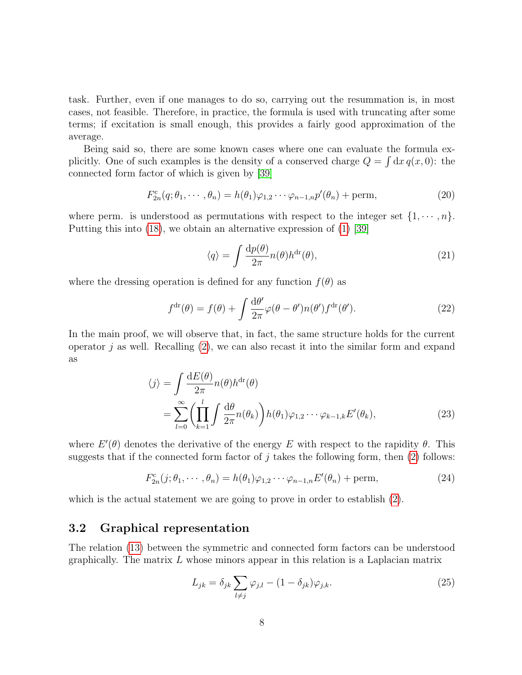task. Further, even if one manages to do so, carrying out the resummation is, in most cases, not feasible. Therefore, in practice, the formula is used with truncating after some terms; if excitation is small enough, this provides a fairly good approximation of the average.

Being said so, there are some known cases where one can evaluate the formula explicitly. One of such examples is the density of a conserved charge  $Q = \int dx q(x, 0)$ : the connected form factor of which is given by [\[39\]](#page-18-8)

<span id="page-7-2"></span>
$$
F_{2n}^{\rm c}(q;\theta_1,\cdots,\theta_n) = h(\theta_1)\varphi_{1,2}\cdots\varphi_{n-1,n}p'(\theta_n) + \text{perm},\tag{20}
$$

where perm. is understood as permutations with respect to the integer set  $\{1, \dots, n\}$ . Putting this into [\(18\)](#page-6-3), we obtain an alternative expression of [\(1\)](#page-2-1) [\[39\]](#page-18-8)

$$
\langle q \rangle = \int \frac{\mathrm{d}p(\theta)}{2\pi} n(\theta) h^{\mathrm{dr}}(\theta),\tag{21}
$$

where the dressing operation is defined for any function  $f(\theta)$  as

$$
f^{\text{dr}}(\theta) = f(\theta) + \int \frac{\mathrm{d}\theta'}{2\pi} \varphi(\theta - \theta') n(\theta') f^{\text{dr}}(\theta'). \tag{22}
$$

In the main proof, we will observe that, in fact, the same structure holds for the current operator  $j$  as well. Recalling  $(2)$ , we can also recast it into the similar form and expand as

$$
\langle j \rangle = \int \frac{dE(\theta)}{2\pi} n(\theta) h^{dr}(\theta)
$$
  
= 
$$
\sum_{l=0}^{\infty} \left( \prod_{k=1}^{l} \int \frac{d\theta}{2\pi} n(\theta_k) \right) h(\theta_1) \varphi_{1,2} \cdots \varphi_{k-1,k} E'(\theta_k),
$$
 (23)

where  $E'(\theta)$  denotes the derivative of the energy E with respect to the rapidity  $\theta$ . This suggests that if the connected form factor of  $j$  takes the following form, then  $(2)$  follows:

<span id="page-7-0"></span>
$$
F_{2n}^{c}(j; \theta_1, \cdots, \theta_n) = h(\theta_1)\varphi_{1,2}\cdots\varphi_{n-1,n}E'(\theta_n) + \text{perm},\tag{24}
$$

which is the actual statement we are going to prove in order to establish [\(2\)](#page-3-0).

#### 3.2 Graphical representation

The relation [\(13\)](#page-5-1) between the symmetric and connected form factors can be understood graphically. The matrix  $L$  whose minors appear in this relation is a Laplacian matrix

<span id="page-7-1"></span>
$$
L_{jk} = \delta_{jk} \sum_{l \neq j} \varphi_{j,l} - (1 - \delta_{jk}) \varphi_{j,k}.
$$
 (25)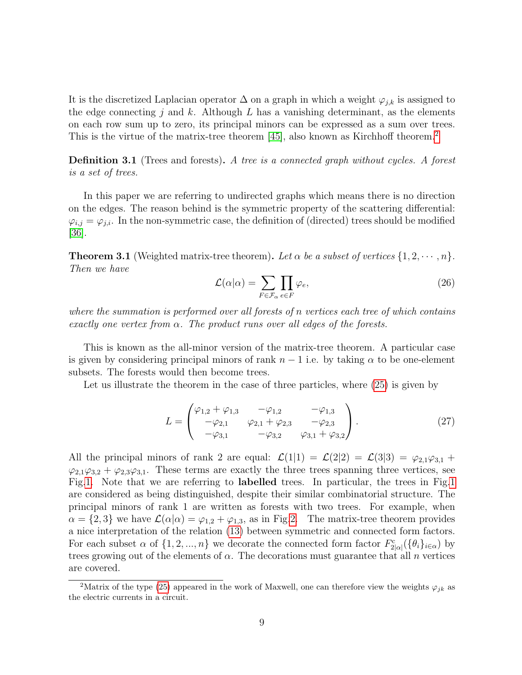It is the discretized Laplacian operator  $\Delta$  on a graph in which a weight  $\varphi_{j,k}$  is assigned to the edge connecting j and k. Although  $L$  has a vanishing determinant, as the elements on each row sum up to zero, its principal minors can be expressed as a sum over trees. This is the virtue of the matrix-tree theorem [\[45\]](#page-18-14), also known as Kirchhoff theorem.<sup>[2](#page-8-0)</sup>

**Definition 3.1** (Trees and forests). A tree is a connected graph without cycles. A forest is a set of trees.

In this paper we are referring to undirected graphs which means there is no direction on the edges. The reason behind is the symmetric property of the scattering differential:  $\varphi_{i,j} = \varphi_{j,i}$ . In the non-symmetric case, the definition of (directed) trees should be modified [\[36\]](#page-18-5).

<span id="page-8-1"></span>**Theorem 3.1** (Weighted matrix-tree theorem). Let  $\alpha$  be a subset of vertices  $\{1, 2, \dots, n\}$ . Then we have

$$
\mathcal{L}(\alpha|\alpha) = \sum_{F \in \mathcal{F}_{\alpha}} \prod_{e \in F} \varphi_e,\tag{26}
$$

where the summation is performed over all forests of n vertices each tree of which contains exactly one vertex from  $\alpha$ . The product runs over all edges of the forests.

This is known as the all-minor version of the matrix-tree theorem. A particular case is given by considering principal minors of rank  $n - 1$  i.e. by taking  $\alpha$  to be one-element subsets. The forests would then become trees.

Let us illustrate the theorem in the case of three particles, where [\(25\)](#page-7-1) is given by

$$
L = \begin{pmatrix} \varphi_{1,2} + \varphi_{1,3} & -\varphi_{1,2} & -\varphi_{1,3} \\ -\varphi_{2,1} & \varphi_{2,1} + \varphi_{2,3} & -\varphi_{2,3} \\ -\varphi_{3,1} & -\varphi_{3,2} & \varphi_{3,1} + \varphi_{3,2} \end{pmatrix} .
$$
 (27)

All the principal minors of rank 2 are equal:  $\mathcal{L}(1|1) = \mathcal{L}(2|2) = \mathcal{L}(3|3) = \varphi_{2,1}\varphi_{3,1}$  +  $\varphi_{2,1}\varphi_{3,2} + \varphi_{2,3}\varphi_{3,1}$ . These terms are exactly the three trees spanning three vertices, see Fig[.1.](#page-9-0) Note that we are referring to labelled trees. In particular, the trees in Fig[.1](#page-9-0) are considered as being distinguished, despite their similar combinatorial structure. The principal minors of rank 1 are written as forests with two trees. For example, when  $\alpha = \{2,3\}$  we have  $\mathcal{L}(\alpha|\alpha) = \varphi_{1,2} + \varphi_{1,3}$ , as in Fig[.2.](#page-9-1) The matrix-tree theorem provides a nice interpretation of the relation [\(13\)](#page-5-1) between symmetric and connected form factors. For each subset  $\alpha$  of  $\{1, 2, ..., n\}$  we decorate the connected form factor  $F_{2|\alpha|}^c(\{\theta_i\}_{i\in\alpha})$  by trees growing out of the elements of  $\alpha$ . The decorations must guarantee that all n vertices are covered.

<span id="page-8-0"></span><sup>&</sup>lt;sup>2</sup>Matrix of the type [\(25\)](#page-7-1) appeared in the work of Maxwell, one can therefore view the weights  $\varphi_{jk}$  as the electric currents in a circuit.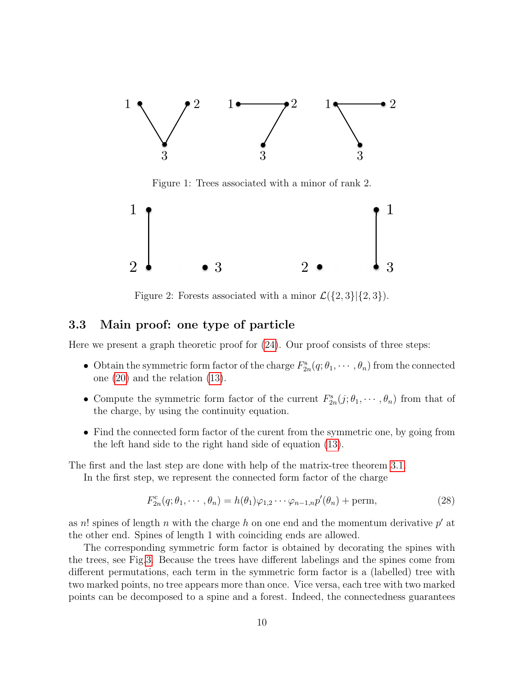

<span id="page-9-0"></span>Figure 1: Trees associated with a minor of rank 2.



<span id="page-9-1"></span>Figure 2: Forests associated with a minor  $\mathcal{L}(\{2,3\}|\{2,3\}).$ 

#### 3.3 Main proof: one type of particle

Here we present a graph theoretic proof for [\(24\)](#page-7-0). Our proof consists of three steps:

- Obtain the symmetric form factor of the charge  $F_{2n}^s(q; \theta_1, \dots, \theta_n)$  from the connected one [\(20\)](#page-7-2) and the relation [\(13\)](#page-5-1).
- Compute the symmetric form factor of the current  $F_{2n}^s(j; \theta_1, \dots, \theta_n)$  from that of the charge, by using the continuity equation.
- Find the connected form factor of the curent from the symmetric one, by going from the left hand side to the right hand side of equation [\(13\)](#page-5-1).

The first and the last step are done with help of the matrix-tree theorem [3.1.](#page-8-1)

In the first step, we represent the connected form factor of the charge

$$
F_{2n}^{\rm c}(q;\theta_1,\cdots,\theta_n) = h(\theta_1)\varphi_{1,2}\cdots\varphi_{n-1,n}p'(\theta_n) + \text{perm},\tag{28}
$$

as n! spines of length n with the charge h on one end and the momentum derivative  $p'$  at the other end. Spines of length 1 with coinciding ends are allowed.

The corresponding symmetric form factor is obtained by decorating the spines with the trees, see Fig[.3.](#page-10-0) Because the trees have different labelings and the spines come from different permutations, each term in the symmetric form factor is a (labelled) tree with two marked points, no tree appears more than once. Vice versa, each tree with two marked points can be decomposed to a spine and a forest. Indeed, the connectedness guarantees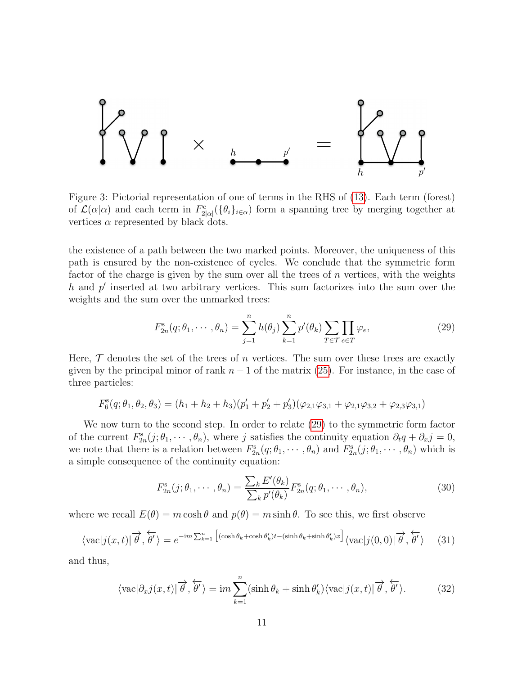

<span id="page-10-0"></span>Figure 3: Pictorial representation of one of terms in the RHS of [\(13\)](#page-5-1). Each term (forest) of  $\mathcal{L}(\alpha|\alpha)$  and each term in  $F_{2|\alpha|}^c(\{\theta_i\}_{i\in\alpha})$  form a spanning tree by merging together at vertices  $\alpha$  represented by black dots.

the existence of a path between the two marked points. Moreover, the uniqueness of this path is ensured by the non-existence of cycles. We conclude that the symmetric form factor of the charge is given by the sum over all the trees of  $n$  vertices, with the weights  $h$  and  $p'$  inserted at two arbitrary vertices. This sum factorizes into the sum over the weights and the sum over the unmarked trees:

<span id="page-10-1"></span>
$$
F_{2n}^s(q; \theta_1, \cdots, \theta_n) = \sum_{j=1}^n h(\theta_j) \sum_{k=1}^n p'(\theta_k) \sum_{T \in \mathcal{T}} \prod_{e \in T} \varphi_e,\tag{29}
$$

Here,  $\mathcal T$  denotes the set of the trees of n vertices. The sum over these trees are exactly given by the principal minor of rank  $n-1$  of the matrix [\(25\)](#page-7-1). For instance, in the case of three particles:

$$
F_6^s(q; \theta_1, \theta_2, \theta_3) = (h_1 + h_2 + h_3)(p'_1 + p'_2 + p'_3)(\varphi_{2,1}\varphi_{3,1} + \varphi_{2,1}\varphi_{3,2} + \varphi_{2,3}\varphi_{3,1})
$$

We now turn to the second step. In order to relate [\(29\)](#page-10-1) to the symmetric form factor of the current  $F_{2n}^s(j; \theta_1, \dots, \theta_n)$ , where j satisfies the continuity equation  $\partial_t q + \partial_x j = 0$ , we note that there is a relation between  $F_{2n}^s(q;\theta_1,\dots,\theta_n)$  and  $F_{2n}^s(j;\theta_1,\dots,\theta_n)$  which is a simple consequence of the continuity equation:

$$
F_{2n}^{\mathrm{s}}(j;\theta_1,\cdots,\theta_n) = \frac{\sum_k E'(\theta_k)}{\sum_k p'(\theta_k)} F_{2n}^{\mathrm{s}}(q;\theta_1,\cdots,\theta_n),\tag{30}
$$

where we recall  $E(\theta) = m \cosh \theta$  and  $p(\theta) = m \sinh \theta$ . To see this, we first observe

$$
\langle \text{vac}|j(x,t)|\overrightarrow{\theta},\overleftarrow{\theta'}\rangle = e^{-\text{i}m\sum_{k=1}^{n} \left[ (\cosh\theta_{k}+\cosh\theta_{k}')t-(\sinh\theta_{k}+\sinh\theta_{k}')x \right]}\langle \text{vac}|j(0,0)|\overrightarrow{\theta},\overleftarrow{\theta'}\rangle \tag{31}
$$

and thus,

$$
\langle \text{vac} | \partial_x j(x, t) | \overrightarrow{\theta}, \overleftarrow{\theta'} \rangle = \text{i} m \sum_{k=1}^n (\sinh \theta_k + \sinh \theta'_k) \langle \text{vac} | j(x, t) | \overrightarrow{\theta}, \overleftarrow{\theta'} \rangle. \tag{32}
$$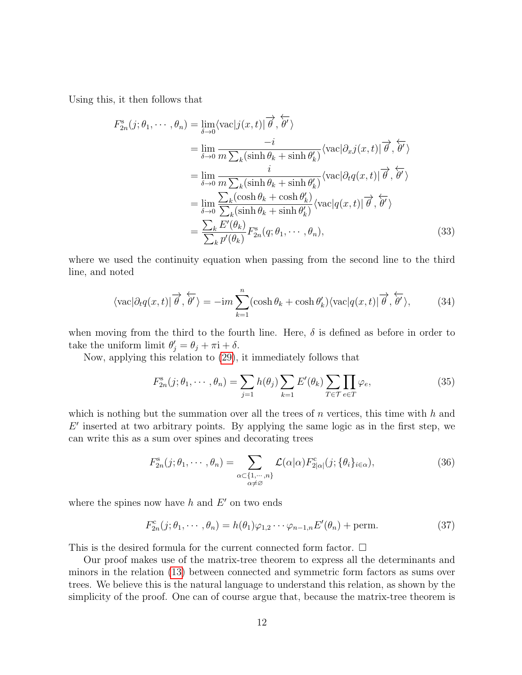Using this, it then follows that

$$
F_{2n}^{s}(j; \theta_{1}, \cdots, \theta_{n}) = \lim_{\delta \to 0} \langle \text{vac}|j(x, t)| \overrightarrow{\theta}, \overleftarrow{\theta'} \rangle
$$
  
\n
$$
= \lim_{\delta \to 0} \frac{-i}{m \sum_{k} (\sinh \theta_{k} + \sinh \theta'_{k})} \langle \text{vac}| \partial_{x}j(x, t)| \overrightarrow{\theta}, \overleftarrow{\theta'} \rangle
$$
  
\n
$$
= \lim_{\delta \to 0} \frac{i}{m \sum_{k} (\sinh \theta_{k} + \sinh \theta'_{k})} \langle \text{vac}| \partial_{t}q(x, t)| \overrightarrow{\theta}, \overleftarrow{\theta'} \rangle
$$
  
\n
$$
= \lim_{\delta \to 0} \frac{\sum_{k} (\cosh \theta_{k} + \cosh \theta'_{k})}{\sum_{k} (\sinh \theta_{k} + \sinh \theta'_{k})} \langle \text{vac}|q(x, t)| \overrightarrow{\theta}, \overleftarrow{\theta'} \rangle
$$
  
\n
$$
= \frac{\sum_{k} E'(\theta_{k})}{\sum_{k} p'(\theta_{k})} F_{2n}^{s}(q; \theta_{1}, \cdots, \theta_{n}), \qquad (33)
$$

where we used the continuity equation when passing from the second line to the third line, and noted

$$
\langle \text{vac} | \partial_t q(x, t) | \overrightarrow{\theta}, \overleftarrow{\theta'} \rangle = -\mathrm{i}m \sum_{k=1}^n (\cosh \theta_k + \cosh \theta'_k) \langle \text{vac} | q(x, t) | \overrightarrow{\theta}, \overleftarrow{\theta'} \rangle, \tag{34}
$$

when moving from the third to the fourth line. Here,  $\delta$  is defined as before in order to take the uniform limit  $\theta'_j = \theta_j + \pi i + \delta$ .

Now, applying this relation to [\(29\)](#page-10-1), it immediately follows that

$$
F_{2n}^s(j; \theta_1, \cdots, \theta_n) = \sum_{j=1}^n h(\theta_j) \sum_{k=1}^n E'(\theta_k) \sum_{T \in \mathcal{T}} \prod_{e \in T} \varphi_e,\tag{35}
$$

which is nothing but the summation over all the trees of  $n$  vertices, this time with  $h$  and  $E'$  inserted at two arbitrary points. By applying the same logic as in the first step, we can write this as a sum over spines and decorating trees

$$
F_{2n}^s(j; \theta_1, \cdots, \theta_n) = \sum_{\substack{\alpha \subset \{1, \cdots, n\} \\ \alpha \neq \varnothing}} \mathcal{L}(\alpha | \alpha) F_{2|\alpha|}^c(j; \{\theta_i\}_{i \in \alpha}), \tag{36}
$$

where the spines now have  $h$  and  $E'$  on two ends

$$
F_{2n}^{\mathrm{c}}(j;\theta_1,\cdots,\theta_n) = h(\theta_1)\varphi_{1,2}\cdots\varphi_{n-1,n}E'(\theta_n) + \text{perm.}
$$
\n(37)

This is the desired formula for the current connected form factor.  $\Box$ 

Our proof makes use of the matrix-tree theorem to express all the determinants and minors in the relation [\(13\)](#page-5-1) between connected and symmetric form factors as sums over trees. We believe this is the natural language to understand this relation, as shown by the simplicity of the proof. One can of course argue that, because the matrix-tree theorem is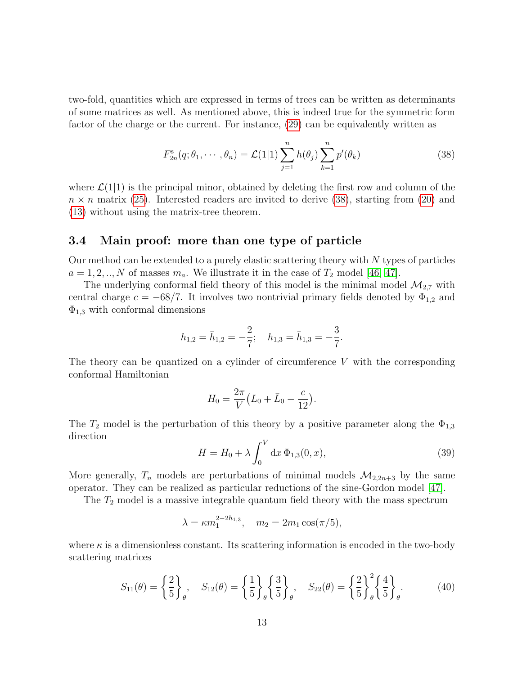two-fold, quantities which are expressed in terms of trees can be written as determinants of some matrices as well. As mentioned above, this is indeed true for the symmetric form factor of the charge or the current. For instance, [\(29\)](#page-10-1) can be equivalently written as

<span id="page-12-0"></span>
$$
F_{2n}^{s}(q; \theta_1, \cdots, \theta_n) = \mathcal{L}(1|1) \sum_{j=1}^{n} h(\theta_j) \sum_{k=1}^{n} p'(\theta_k)
$$
 (38)

where  $\mathcal{L}(1|1)$  is the principal minor, obtained by deleting the first row and column of the  $n \times n$  matrix [\(25\)](#page-7-1). Interested readers are invited to derive [\(38\)](#page-12-0), starting from [\(20\)](#page-7-2) and [\(13\)](#page-5-1) without using the matrix-tree theorem.

#### 3.4 Main proof: more than one type of particle

Our method can be extended to a purely elastic scattering theory with  $N$  types of particles  $a = 1, 2, ..., N$  of masses  $m_a$ . We illustrate it in the case of  $T_2$  model [\[46,](#page-18-15) [47\]](#page-19-0).

The underlying conformal field theory of this model is the minimal model  $\mathcal{M}_{2,7}$  with central charge  $c = -68/7$ . It involves two nontrivial primary fields denoted by  $\Phi_{1,2}$  and  $\Phi_{1,3}$  with conformal dimensions

$$
h_{1,2}=\bar h_{1,2}=-\frac{2}{7};\quad h_{1,3}=\bar h_{1,3}=-\frac{3}{7}.
$$

The theory can be quantized on a cylinder of circumference  $V$  with the corresponding conformal Hamiltonian

$$
H_0 = \frac{2\pi}{V} (L_0 + \bar{L}_0 - \frac{c}{12}).
$$

The  $T_2$  model is the perturbation of this theory by a positive parameter along the  $\Phi_{1,3}$ direction

$$
H = H_0 + \lambda \int_0^V dx \, \Phi_{1,3}(0, x), \tag{39}
$$

More generally,  $T_n$  models are perturbations of minimal models  $\mathcal{M}_{2,2n+3}$  by the same operator. They can be realized as particular reductions of the sine-Gordon model [\[47\]](#page-19-0).

The  $T_2$  model is a massive integrable quantum field theory with the mass spectrum

$$
\lambda = \kappa m_1^{2-2h_{1,3}}, \quad m_2 = 2m_1 \cos(\pi/5),
$$

where  $\kappa$  is a dimensionless constant. Its scattering information is encoded in the two-body scattering matrices

$$
S_{11}(\theta) = \left\{ \frac{2}{5} \right\}_{\theta}, \quad S_{12}(\theta) = \left\{ \frac{1}{5} \right\}_{\theta} \left\{ \frac{3}{5} \right\}_{\theta}, \quad S_{22}(\theta) = \left\{ \frac{2}{5} \right\}_{\theta}^{2} \left\{ \frac{4}{5} \right\}_{\theta}.
$$
 (40)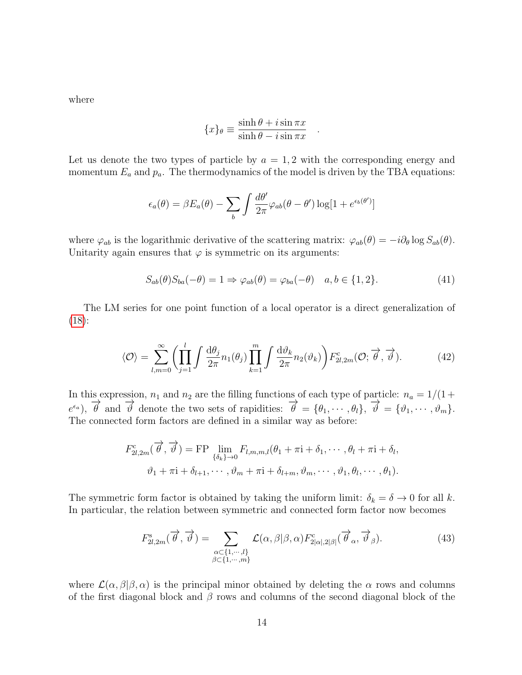where

$$
\{x\}_{\theta} \equiv \frac{\sinh \theta + i \sin \pi x}{\sinh \theta - i \sin \pi x}
$$

Let us denote the two types of particle by  $a = 1, 2$  with the corresponding energy and momentum  $E_a$  and  $p_a$ . The thermodynamics of the model is driven by the TBA equations:

$$
\epsilon_a(\theta) = \beta E_a(\theta) - \sum_b \int \frac{d\theta'}{2\pi} \varphi_{ab}(\theta - \theta') \log[1 + e^{\epsilon_b(\theta')}]
$$

where  $\varphi_{ab}$  is the logarithmic derivative of the scattering matrix:  $\varphi_{ab}(\theta) = -i\partial_\theta \log S_{ab}(\theta)$ . Unitarity again ensures that  $\varphi$  is symmetric on its arguments:

$$
S_{ab}(\theta)S_{ba}(-\theta) = 1 \Rightarrow \varphi_{ab}(\theta) = \varphi_{ba}(-\theta) \quad a, b \in \{1, 2\}.
$$
 (41)

<span id="page-13-0"></span>.

The LM series for one point function of a local operator is a direct generalization of  $(18):$  $(18):$ 

$$
\langle \mathcal{O} \rangle = \sum_{l,m=0}^{\infty} \left( \prod_{j=1}^{l} \int \frac{\mathrm{d}\theta_j}{2\pi} n_1(\theta_j) \prod_{k=1}^{m} \int \frac{\mathrm{d}\vartheta_k}{2\pi} n_2(\vartheta_k) \right) F_{2l,2m}^{\text{c}}(\mathcal{O};\overrightarrow{\theta},\overrightarrow{\vartheta}). \tag{42}
$$

In this expression,  $n_1$  and  $n_2$  are the filling functions of each type of particle:  $n_a = 1/(1 +$  $e^{\epsilon_a}$ ),  $\vec{\theta}$  and  $\vec{\theta}$  denote the two sets of rapidities:  $\vec{\theta} = {\theta_1, \dots, \theta_l}, \vec{\theta} = {\theta_1, \dots, \theta_m}.$ The connected form factors are defined in a similar way as before:

$$
F_{2l,2m}^c(\overrightarrow{\theta},\overrightarrow{\vartheta}) = FP \lim_{\{\delta_k\}\to 0} F_{l,m,m,l}(\theta_1 + \pi i + \delta_1, \cdots, \theta_l + \pi i + \delta_l,
$$
  

$$
\vartheta_1 + \pi i + \delta_{l+1}, \cdots, \vartheta_m + \pi i + \delta_{l+m}, \vartheta_m, \cdots, \vartheta_1, \theta_l, \cdots, \theta_1).
$$

The symmetric form factor is obtained by taking the uniform limit:  $\delta_k = \delta \to 0$  for all k. In particular, the relation between symmetric and connected form factor now becomes

$$
F_{2l,2m}^{\rm s}(\overrightarrow{\theta},\overrightarrow{\vartheta}) = \sum_{\substack{\alpha \subset \{1,\cdots,l\} \\ \beta \subset \{1,\cdots,m\}}} \mathcal{L}(\alpha,\beta|\beta,\alpha) F_{2|\alpha|,2|\beta|}^{\rm c}(\overrightarrow{\theta}_{\alpha},\overrightarrow{\vartheta}_{\beta}).\tag{43}
$$

where  $\mathcal{L}(\alpha,\beta|\beta,\alpha)$  is the principal minor obtained by deleting the  $\alpha$  rows and columns of the first diagonal block and  $\beta$  rows and columns of the second diagonal block of the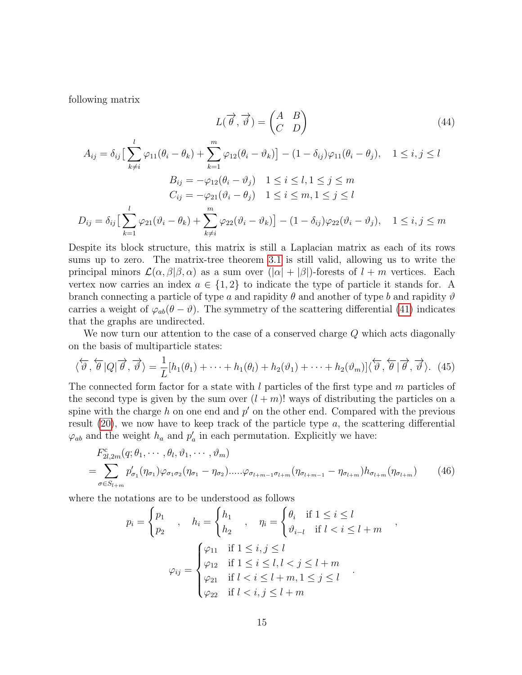following matrix

<span id="page-14-0"></span>
$$
L(\vec{\theta}, \vec{\vartheta}) = \begin{pmatrix} A & B \\ C & D \end{pmatrix}
$$
(44)  

$$
A_{ij} = \delta_{ij} \Big[ \sum_{k=1}^{l} \varphi_{11}(\theta_i - \theta_k) + \sum_{k=1}^{m} \varphi_{12}(\theta_i - \vartheta_k) \Big] - (1 - \delta_{ij})\varphi_{11}(\theta_i - \theta_j), \quad 1 \le i, j \le l
$$

$$
B_{ij} = -\varphi_{12}(\theta_i - \vartheta_j) \quad 1 \le i \le l, 1 \le j \le m
$$

$$
C_{ij} = -\varphi_{21}(\vartheta_i - \theta_j) \quad 1 \le i \le m, 1 \le j \le l
$$

$$
D_{ij} = \delta_{ij} \Big[ \sum_{k=1}^{l} \varphi_{21}(\vartheta_i - \theta_k) + \sum_{k \ne i}^{m} \varphi_{22}(\vartheta_i - \vartheta_k) \Big] - (1 - \delta_{ij})\varphi_{22}(\vartheta_i - \vartheta_j), \quad 1 \le i, j \le m
$$

Despite its block structure, this matrix is still a Laplacian matrix as each of its rows sums up to zero. The matrix-tree theorem [3.1](#page-8-1) is still valid, allowing us to write the principal minors  $\mathcal{L}(\alpha, \beta | \beta, \alpha)$  as a sum over  $(|\alpha| + |\beta|)$ -forests of  $l + m$  vertices. Each vertex now carries an index  $a \in \{1,2\}$  to indicate the type of particle it stands for. A branch connecting a particle of type a and rapidity  $\theta$  and another of type b and rapidity  $\vartheta$ carries a weight of  $\varphi_{ab}(\theta - \vartheta)$ . The symmetry of the scattering differential [\(41\)](#page-13-0) indicates that the graphs are undirected.

We now turn our attention to the case of a conserved charge Q which acts diagonally on the basis of multiparticle states:

$$
\langle \overleftarrow{\vartheta}, \overleftarrow{\theta} | Q | \overrightarrow{\theta}, \overrightarrow{\vartheta} \rangle = \frac{1}{L} [h_1(\theta_1) + \dots + h_1(\theta_l) + h_2(\theta_1) + \dots + h_2(\theta_m)] \langle \overleftarrow{\vartheta}, \overleftarrow{\theta} | \overrightarrow{\theta}, \overrightarrow{\vartheta} \rangle. (45)
$$

The connected form factor for a state with l particles of the first type and m particles of the second type is given by the sum over  $(l + m)!$  ways of distributing the particles on a spine with the charge h on one end and  $p'$  on the other end. Compared with the previous result  $(20)$ , we now have to keep track of the particle type  $a$ , the scattering differential  $\varphi_{ab}$  and the weight  $h_a$  and  $p'_a$  in each permutation. Explicitly we have:

$$
F_{2l,2m}^{c}(q;\theta_{1},\cdots,\theta_{l},\vartheta_{1},\cdots,\vartheta_{m})
$$
\n
$$
=\sum_{\sigma\in S_{l+m}}p'_{\sigma_{1}}(\eta_{\sigma_{1}})\varphi_{\sigma_{1}\sigma_{2}}(\eta_{\sigma_{1}}-\eta_{\sigma_{2}})\cdots\varphi_{\sigma_{l+m-1}\sigma_{l+m}}(\eta_{\sigma_{l+m-1}}-\eta_{\sigma_{l+m}})h_{\sigma_{l+m}}(\eta_{\sigma_{l+m}}) \qquad (46)
$$

<span id="page-14-1"></span>,

where the notations are to be understood as follows

$$
p_i = \begin{cases} p_1 \\ p_2 \end{cases}, \quad h_i = \begin{cases} h_1 \\ h_2 \end{cases}, \quad \eta_i = \begin{cases} \theta_i & \text{if } 1 \leq i \leq l \\ \vartheta_{i-l} & \text{if } l < i \leq l+m \end{cases}
$$

$$
\varphi_{ij} = \begin{cases} \varphi_{11} & \text{if } 1 \leq i, j \leq l \\ \varphi_{12} & \text{if } 1 \leq i \leq l, l < j \leq l+m \\ \varphi_{21} & \text{if } l < i \leq l+m, 1 \leq j \leq l \\ \varphi_{22} & \text{if } l < i, j \leq l+m \end{cases}.
$$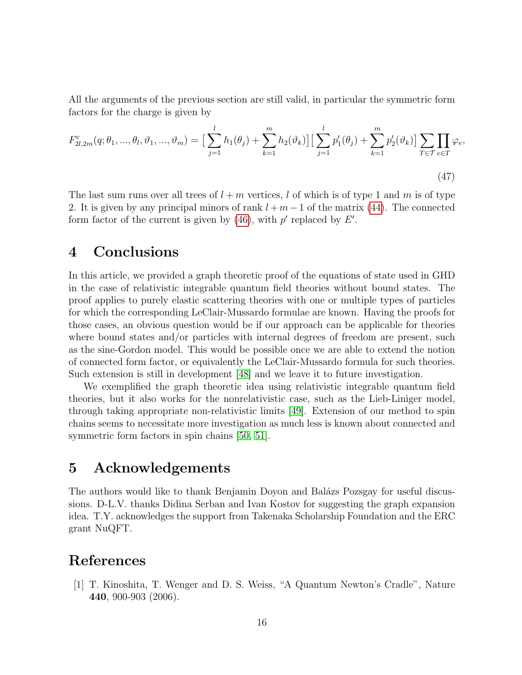All the arguments of the previous section are still valid, in particular the symmetric form factors for the charge is given by

$$
F_{2l,2m}^{c}(q;\theta_{1},\ldots,\theta_{l},\vartheta_{1},\ldots,\vartheta_{m}) = \Big[\sum_{j=1}^{l} h_{1}(\theta_{j}) + \sum_{k=1}^{m} h_{2}(\vartheta_{k})\Big] \Big[\sum_{j=1}^{l} p_{1}'(\theta_{j}) + \sum_{k=1}^{m} p_{2}'(\vartheta_{k})\Big] \sum_{T \in \mathcal{T}} \prod_{e \in T} \varphi_{e},\tag{47}
$$

The last sum runs over all trees of  $l + m$  vertices, l of which is of type 1 and m is of type 2. It is given by any principal minors of rank  $l + m - 1$  of the matrix [\(44\)](#page-14-0). The connected form factor of the current is given by  $(46)$ , with p' replaced by E'.

# 4 Conclusions

In this article, we provided a graph theoretic proof of the equations of state used in GHD in the case of relativistic integrable quantum field theories without bound states. The proof applies to purely elastic scattering theories with one or multiple types of particles for which the corresponding LeClair-Mussardo formulae are known. Having the proofs for those cases, an obvious question would be if our approach can be applicable for theories where bound states and/or particles with internal degrees of freedom are present, such as the sine-Gordon model. This would be possible once we are able to extend the notion of connected form factor, or equivalently the LeClair-Mussardo formula for such theories. Such extension is still in development [\[48\]](#page-19-1) and we leave it to future investigation.

We exemplified the graph theoretic idea using relativistic integrable quantum field theories, but it also works for the nonrelativistic case, such as the Lieb-Liniger model, through taking appropriate non-relativistic limits [\[49\]](#page-19-2). Extension of our method to spin chains seems to necessitate more investigation as much less is known about connected and symmetric form factors in spin chains [\[50,](#page-19-3) [51\]](#page-19-4).

## 5 Acknowledgements

The authors would like to thank Benjamin Doyon and Balázs Pozsgay for useful discussions. D-L.V. thanks Didina Serban and Ivan Kostov for suggesting the graph expansion idea. T.Y. acknowledges the support from Takenaka Scholarship Foundation and the ERC grant NuQFT.

# References

<span id="page-15-0"></span>[1] T. Kinoshita, T. Wenger and D. S. Weiss, "A Quantum Newton's Cradle", Nature 440, 900-903 (2006).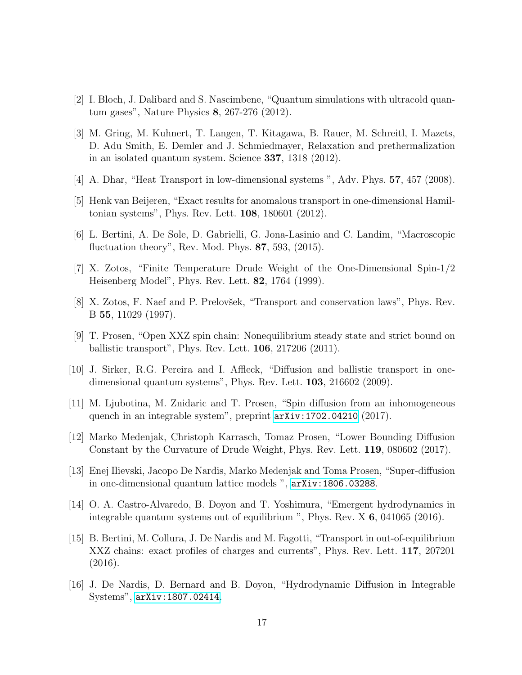- <span id="page-16-0"></span>[2] I. Bloch, J. Dalibard and S. Nascimbene, "Quantum simulations with ultracold quantum gases", Nature Physics 8, 267-276 (2012).
- <span id="page-16-1"></span>[3] M. Gring, M. Kuhnert, T. Langen, T. Kitagawa, B. Rauer, M. Schreitl, I. Mazets, D. Adu Smith, E. Demler and J. Schmiedmayer, Relaxation and prethermalization in an isolated quantum system. Science 337, 1318 (2012).
- <span id="page-16-2"></span>[4] A. Dhar, "Heat Transport in low-dimensional systems ", Adv. Phys. 57, 457 (2008).
- <span id="page-16-3"></span>[5] Henk van Beijeren, "Exact results for anomalous transport in one-dimensional Hamiltonian systems", Phys. Rev. Lett. 108, 180601 (2012).
- <span id="page-16-4"></span>[6] L. Bertini, A. De Sole, D. Gabrielli, G. Jona-Lasinio and C. Landim, "Macroscopic fluctuation theory", Rev. Mod. Phys. 87, 593, (2015).
- <span id="page-16-5"></span>[7] X. Zotos, "Finite Temperature Drude Weight of the One-Dimensional Spin-1/2 Heisenberg Model", Phys. Rev. Lett. 82, 1764 (1999).
- <span id="page-16-6"></span>[8] X. Zotos, F. Naef and P. Prelovšek, "Transport and conservation laws", Phys. Rev. B 55, 11029 (1997).
- <span id="page-16-7"></span>[9] T. Prosen, "Open XXZ spin chain: Nonequilibrium steady state and strict bound on ballistic transport", Phys. Rev. Lett. 106, 217206 (2011).
- <span id="page-16-8"></span>[10] J. Sirker, R.G. Pereira and I. Affleck, "Diffusion and ballistic transport in onedimensional quantum systems", Phys. Rev. Lett. **103**, 216602 (2009).
- <span id="page-16-9"></span>[11] M. Ljubotina, M. Znidaric and T. Prosen, "Spin diffusion from an inhomogeneous quench in an integrable system", preprint [arXiv:1702.04210](http://arxiv.org/abs/1702.04210) (2017).
- <span id="page-16-10"></span>[12] Marko Medenjak, Christoph Karrasch, Tomaz Prosen, "Lower Bounding Diffusion Constant by the Curvature of Drude Weight, Phys. Rev. Lett. 119, 080602 (2017).
- <span id="page-16-11"></span>[13] Enej Ilievski, Jacopo De Nardis, Marko Medenjak and Toma Prosen, "Super-diffusion in one-dimensional quantum lattice models ", [arXiv:1806.03288](http://arxiv.org/abs/1806.03288).
- <span id="page-16-12"></span>[14] O. A. Castro-Alvaredo, B. Doyon and T. Yoshimura, "Emergent hydrodynamics in integrable quantum systems out of equilibrium ", Phys. Rev. X 6, 041065 (2016).
- <span id="page-16-13"></span>[15] B. Bertini, M. Collura, J. De Nardis and M. Fagotti, "Transport in out-of-equilibrium XXZ chains: exact profiles of charges and currents", Phys. Rev. Lett. 117, 207201 (2016).
- <span id="page-16-14"></span>[16] J. De Nardis, D. Bernard and B. Doyon, "Hydrodynamic Diffusion in Integrable Systems", [arXiv:1807.02414](http://arxiv.org/abs/1807.02414).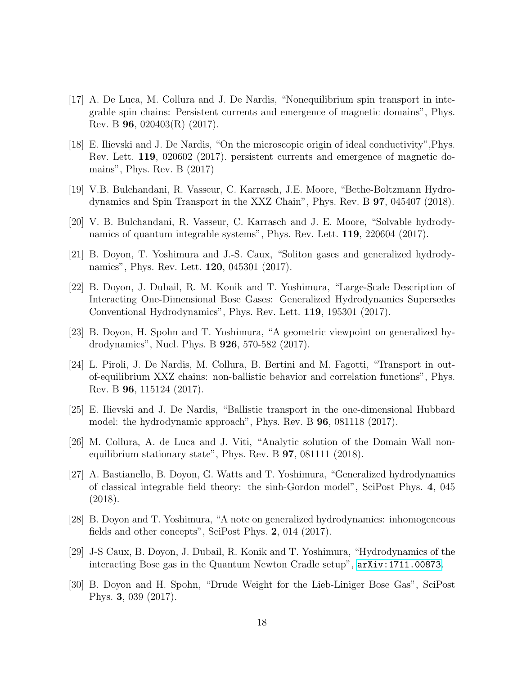- <span id="page-17-0"></span>[17] A. De Luca, M. Collura and J. De Nardis, "Nonequilibrium spin transport in integrable spin chains: Persistent currents and emergence of magnetic domains", Phys. Rev. B 96, 020403(R) (2017).
- <span id="page-17-1"></span>[18] E. Ilievski and J. De Nardis, "On the microscopic origin of ideal conductivity",Phys. Rev. Lett. 119, 020602 (2017). persistent currents and emergence of magnetic domains", Phys. Rev. B (2017)
- <span id="page-17-2"></span>[19] V.B. Bulchandani, R. Vasseur, C. Karrasch, J.E. Moore, "Bethe-Boltzmann Hydrodynamics and Spin Transport in the XXZ Chain", Phys. Rev. B 97, 045407 (2018).
- <span id="page-17-3"></span>[20] V. B. Bulchandani, R. Vasseur, C. Karrasch and J. E. Moore, "Solvable hydrodynamics of quantum integrable systems", Phys. Rev. Lett. 119, 220604 (2017).
- <span id="page-17-4"></span>[21] B. Doyon, T. Yoshimura and J.-S. Caux, "Soliton gases and generalized hydrodynamics", Phys. Rev. Lett. 120, 045301 (2017).
- [22] B. Doyon, J. Dubail, R. M. Konik and T. Yoshimura, "Large-Scale Description of Interacting One-Dimensional Bose Gases: Generalized Hydrodynamics Supersedes Conventional Hydrodynamics", Phys. Rev. Lett. 119, 195301 (2017).
- <span id="page-17-5"></span>[23] B. Doyon, H. Spohn and T. Yoshimura, "A geometric viewpoint on generalized hydrodynamics", Nucl. Phys. B 926, 570-582 (2017).
- <span id="page-17-6"></span>[24] L. Piroli, J. De Nardis, M. Collura, B. Bertini and M. Fagotti, "Transport in outof-equilibrium XXZ chains: non-ballistic behavior and correlation functions", Phys. Rev. B 96, 115124 (2017).
- <span id="page-17-7"></span>[25] E. Ilievski and J. De Nardis, "Ballistic transport in the one-dimensional Hubbard model: the hydrodynamic approach", Phys. Rev. B 96, 081118 (2017).
- <span id="page-17-8"></span>[26] M. Collura, A. de Luca and J. Viti, "Analytic solution of the Domain Wall nonequilibrium stationary state", Phys. Rev. B 97, 081111 (2018).
- <span id="page-17-11"></span>[27] A. Bastianello, B. Doyon, G. Watts and T. Yoshimura, "Generalized hydrodynamics of classical integrable field theory: the sinh-Gordon model", SciPost Phys. 4, 045 (2018).
- <span id="page-17-9"></span>[28] B. Doyon and T. Yoshimura, "A note on generalized hydrodynamics: inhomogeneous fields and other concepts", SciPost Phys. 2, 014 (2017).
- <span id="page-17-10"></span>[29] J-S Caux, B. Doyon, J. Dubail, R. Konik and T. Yoshimura, "Hydrodynamics of the interacting Bose gas in the Quantum Newton Cradle setup", [arXiv:1711.00873](http://arxiv.org/abs/1711.00873).
- <span id="page-17-12"></span>[30] B. Doyon and H. Spohn, "Drude Weight for the Lieb-Liniger Bose Gas", SciPost Phys. 3, 039 (2017).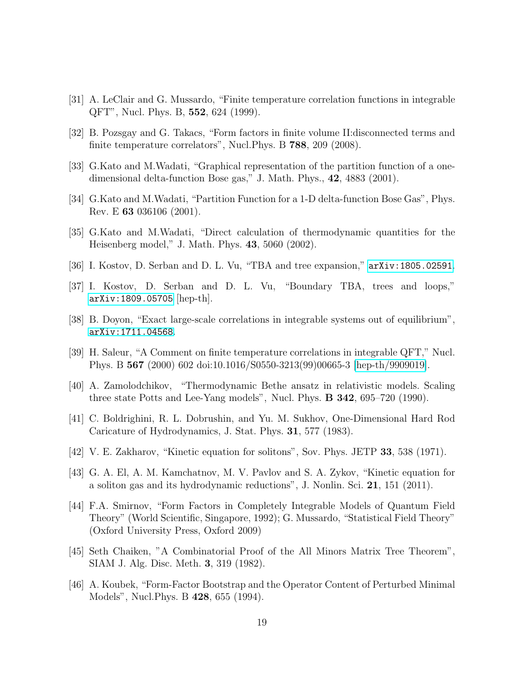- <span id="page-18-0"></span>[31] A. LeClair and G. Mussardo, "Finite temperature correlation functions in integrable QFT", Nucl. Phys. B, 552, 624 (1999).
- <span id="page-18-1"></span>[32] B. Pozsgay and G. Takacs, "Form factors in finite volume II:disconnected terms and finite temperature correlators", Nucl. Phys. B 788, 209 (2008).
- <span id="page-18-2"></span>[33] G.Kato and M.Wadati, "Graphical representation of the partition function of a onedimensional delta-function Bose gas," J. Math. Phys., 42, 4883 (2001).
- <span id="page-18-3"></span>[34] G.Kato and M.Wadati, "Partition Function for a 1-D delta-function Bose Gas", Phys. Rev. E 63 036106 (2001).
- <span id="page-18-4"></span>[35] G.Kato and M.Wadati, "Direct calculation of thermodynamic quantities for the Heisenberg model," J. Math. Phys. 43, 5060 (2002).
- <span id="page-18-5"></span>[36] I. Kostov, D. Serban and D. L. Vu, "TBA and tree expansion," [arXiv:1805.02591](http://arxiv.org/abs/1805.02591).
- <span id="page-18-6"></span>[37] I. Kostov, D. Serban and D. L. Vu, "Boundary TBA, trees and loops," [arXiv:1809.05705](http://arxiv.org/abs/1809.05705) [hep-th].
- <span id="page-18-7"></span>[38] B. Doyon, "Exact large-scale correlations in integrable systems out of equilibrium", [arXiv:1711.04568](http://arxiv.org/abs/1711.04568).
- <span id="page-18-8"></span>[39] H. Saleur, "A Comment on finite temperature correlations in integrable QFT," Nucl. Phys. B 567 (2000) 602 doi:10.1016/S0550-3213(99)00665-3 [\[hep-th/9909019\]](http://arxiv.org/abs/hep-th/9909019).
- <span id="page-18-9"></span>[40] A. Zamolodchikov, "Thermodynamic Bethe ansatz in relativistic models. Scaling three state Potts and Lee-Yang models", Nucl. Phys. B 342, 695–720 (1990).
- <span id="page-18-10"></span>[41] C. Boldrighini, R. L. Dobrushin, and Yu. M. Sukhov, One-Dimensional Hard Rod Caricature of Hydrodynamics, J. Stat. Phys. 31, 577 (1983).
- <span id="page-18-11"></span>[42] V. E. Zakharov, "Kinetic equation for solitons", Sov. Phys. JETP 33, 538 (1971).
- <span id="page-18-12"></span>[43] G. A. El, A. M. Kamchatnov, M. V. Pavlov and S. A. Zykov, "Kinetic equation for a soliton gas and its hydrodynamic reductions", J. Nonlin. Sci. 21, 151 (2011).
- <span id="page-18-13"></span>[44] F.A. Smirnov, "Form Factors in Completely Integrable Models of Quantum Field Theory" (World Scientific, Singapore, 1992); G. Mussardo, "Statistical Field Theory" (Oxford University Press, Oxford 2009)
- <span id="page-18-14"></span>[45] Seth Chaiken, "A Combinatorial Proof of the All Minors Matrix Tree Theorem", SIAM J. Alg. Disc. Meth. 3, 319 (1982).
- <span id="page-18-15"></span>[46] A. Koubek, "Form-Factor Bootstrap and the Operator Content of Perturbed Minimal Models", Nucl.Phys. B 428, 655 (1994).